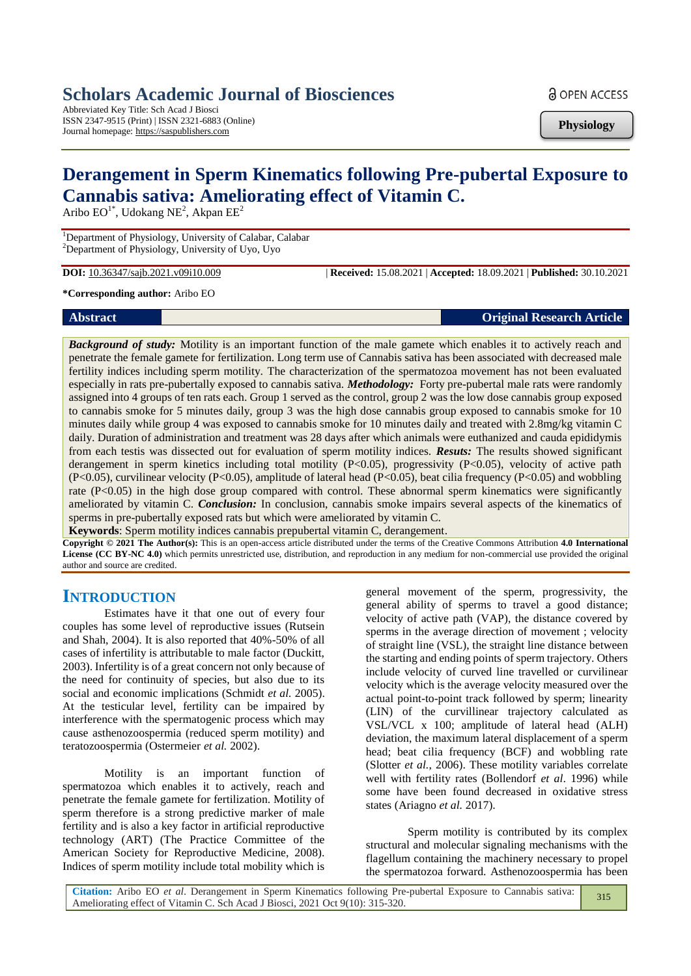# **Scholars Academic Journal of Biosciences**

Abbreviated Key Title: Sch Acad J Biosci ISSN 2347-9515 (Print) | ISSN 2321-6883 (Online) Journal homepage: https://saspublishers.com

**a** OPEN ACCESS

**Physiology**

# **Derangement in Sperm Kinematics following Pre-pubertal Exposure to Cannabis sativa: Ameliorating effect of Vitamin C.**

Aribo  $EO^{1*}$ , Udokang NE<sup>2</sup>, Akpan  $EE^{2}$ 

<sup>1</sup>Department of Physiology, University of Calabar, Calabar <sup>2</sup>Department of Physiology, University of Uyo, Uyo

**DOI:** 10.36347/sajb.2021.v09i10.009 | **Received:** 15.08.2021 | **Accepted:** 18.09.2021 | **Published:** 30.10.2021

**\*Corresponding author:** Aribo EO

| <b>Abstract</b> | <b>Original Research Article</b> |
|-----------------|----------------------------------|
|                 |                                  |

*Background of study:* Motility is an important function of the male gamete which enables it to actively reach and penetrate the female gamete for fertilization. Long term use of Cannabis sativa has been associated with decreased male fertility indices including sperm motility. The characterization of the spermatozoa movement has not been evaluated especially in rats pre-pubertally exposed to cannabis sativa. *Methodology:* Forty pre-pubertal male rats were randomly assigned into 4 groups of ten rats each. Group 1 served as the control, group 2 was the low dose cannabis group exposed to cannabis smoke for 5 minutes daily, group 3 was the high dose cannabis group exposed to cannabis smoke for 10 minutes daily while group 4 was exposed to cannabis smoke for 10 minutes daily and treated with 2.8mg/kg vitamin C daily. Duration of administration and treatment was 28 days after which animals were euthanized and cauda epididymis from each testis was dissected out for evaluation of sperm motility indices. *Resuts:* The results showed significant derangement in sperm kinetics including total motility  $(P<0.05)$ , progressivity  $(P<0.05)$ , velocity of active path (P<0.05), curvilinear velocity (P<0.05), amplitude of lateral head (P<0.05), beat cilia frequency (P<0.05) and wobbling rate (P<0.05) in the high dose group compared with control. These abnormal sperm kinematics were significantly ameliorated by vitamin C. *Conclusion:* In conclusion, cannabis smoke impairs several aspects of the kinematics of sperms in pre-pubertally exposed rats but which were ameliorated by vitamin C.

**Keywords**: Sperm motility indices cannabis prepubertal vitamin C, derangement.

**Copyright © 2021 The Author(s):** This is an open-access article distributed under the terms of the Creative Commons Attribution **4.0 International License (CC BY-NC 4.0)** which permits unrestricted use, distribution, and reproduction in any medium for non-commercial use provided the original author and source are credited.

# **INTRODUCTION**

Estimates have it that one out of every four couples has some level of reproductive issues (Rutsein and Shah, 2004). It is also reported that 40%-50% of all cases of infertility is attributable to male factor (Duckitt, 2003). Infertility is of a great concern not only because of the need for continuity of species, but also due to its social and economic implications (Schmidt *et al.* 2005). At the testicular level, fertility can be impaired by interference with the spermatogenic process which may cause asthenozoospermia (reduced sperm motility) and teratozoospermia (Ostermeier *et al.* 2002).

Motility is an important function of spermatozoa which enables it to actively, reach and penetrate the female gamete for fertilization. Motility of sperm therefore is a strong predictive marker of male fertility and is also a key factor in artificial reproductive technology (ART) (The Practice Committee of the American Society for Reproductive Medicine, 2008). Indices of sperm motility include total mobility which is general movement of the sperm, progressivity, the general ability of sperms to travel a good distance; velocity of active path (VAP), the distance covered by sperms in the average direction of movement ; velocity of straight line (VSL), the straight line distance between the starting and ending points of sperm trajectory. Others include velocity of curved line travelled or curvilinear velocity which is the average velocity measured over the actual point-to-point track followed by sperm; linearity (LIN) of the curvillinear trajectory calculated as VSL/VCL x 100; amplitude of lateral head (ALH) deviation, the maximum lateral displacement of a sperm head; beat cilia frequency (BCF) and wobbling rate (Slotter *et al.*, 2006). These motility variables correlate well with fertility rates (Bollendorf *et al*. 1996) while some have been found decreased in oxidative stress states (Ariagno *et al.* 2017).

Sperm motility is contributed by its complex structural and molecular signaling mechanisms with the flagellum containing the machinery necessary to propel the spermatozoa forward. Asthenozoospermia has been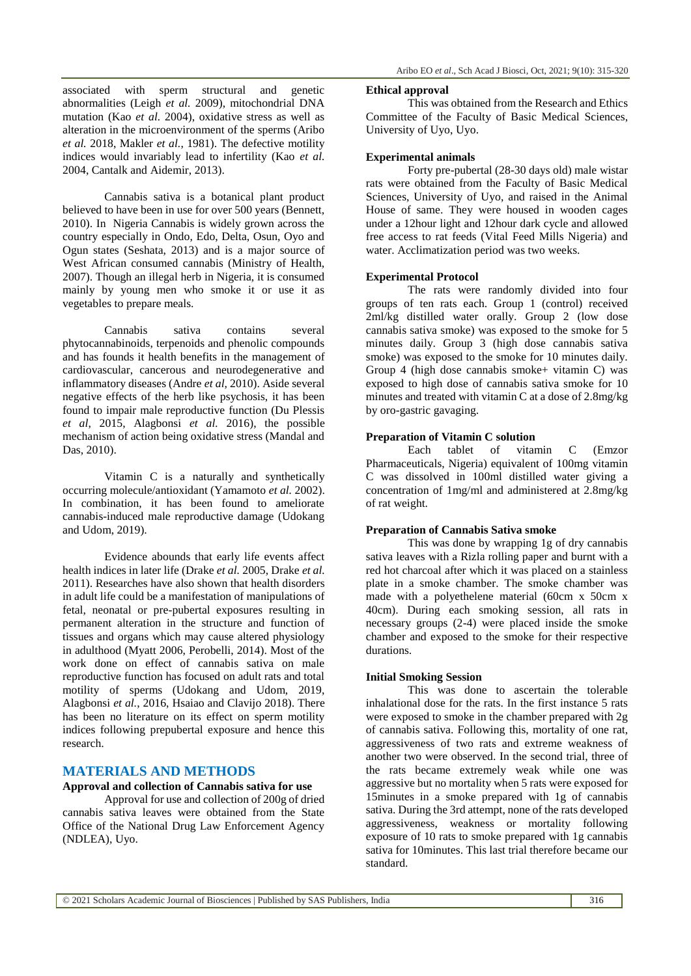associated with sperm structural and genetic abnormalities (Leigh *et al.* 2009), mitochondrial DNA mutation (Kao *et al.* 2004), oxidative stress as well as alteration in the microenvironment of the sperms (Aribo *et al.* 2018, Makler *et al.*, 1981). The defective motility indices would invariably lead to infertility (Kao *et al.* 2004, Cantalk and Aidemir, 2013).

Cannabis sativa is a botanical plant product believed to have been in use for over 500 years (Bennett, 2010). In Nigeria Cannabis is widely grown across the country especially in Ondo, Edo, Delta, Osun, Oyo and Ogun states (Seshata, 2013) and is a major source of West African consumed cannabis (Ministry of Health, 2007). Though an illegal herb in Nigeria, it is consumed mainly by young men who smoke it or use it as vegetables to prepare meals.

Cannabis sativa contains several phytocannabinoids, terpenoids and phenolic compounds and has founds it health benefits in the management of cardiovascular, cancerous and neurodegenerative and inflammatory diseases (Andre *et al,* 2010). Aside several negative effects of the herb like psychosis, it has been found to impair male reproductive function (Du Plessis *et al*, 2015, Alagbonsi *et al.* 2016), the possible mechanism of action being oxidative stress (Mandal and Das, 2010).

Vitamin C is a naturally and synthetically occurring molecule/antioxidant (Yamamoto *et al.* 2002). In combination, it has been found to ameliorate cannabis-induced male reproductive damage (Udokang and Udom, 2019).

Evidence abounds that early life events affect health indices in later life (Drake *et al.* 2005, Drake *et al.* 2011). Researches have also shown that health disorders in adult life could be a manifestation of manipulations of fetal, neonatal or pre-pubertal exposures resulting in permanent alteration in the structure and function of tissues and organs which may cause altered physiology in adulthood (Myatt 2006, Perobelli, 2014). Most of the work done on effect of cannabis sativa on male reproductive function has focused on adult rats and total motility of sperms (Udokang and Udom, 2019, Alagbonsi *et al.*, 2016, Hsaiao and Clavijo 2018). There has been no literature on its effect on sperm motility indices following prepubertal exposure and hence this research.

# **MATERIALS AND METHODS**

#### **Approval and collection of Cannabis sativa for use**

Approval for use and collection of 200g of dried cannabis sativa leaves were obtained from the State Office of the National Drug Law Enforcement Agency (NDLEA), Uyo.

#### **Ethical approval**

This was obtained from the Research and Ethics Committee of the Faculty of Basic Medical Sciences, University of Uyo, Uyo.

#### **Experimental animals**

Forty pre-pubertal (28-30 days old) male wistar rats were obtained from the Faculty of Basic Medical Sciences, University of Uyo, and raised in the Animal House of same. They were housed in wooden cages under a 12hour light and 12hour dark cycle and allowed free access to rat feeds (Vital Feed Mills Nigeria) and water. Acclimatization period was two weeks.

#### **Experimental Protocol**

The rats were randomly divided into four groups of ten rats each. Group 1 (control) received 2ml/kg distilled water orally. Group 2 (low dose cannabis sativa smoke) was exposed to the smoke for 5 minutes daily. Group 3 (high dose cannabis sativa smoke) was exposed to the smoke for 10 minutes daily. Group 4 (high dose cannabis smoke+ vitamin C) was exposed to high dose of cannabis sativa smoke for 10 minutes and treated with vitamin C at a dose of 2.8mg/kg by oro-gastric gavaging.

### **Preparation of Vitamin C solution**

Each tablet of vitamin C (Emzor Pharmaceuticals, Nigeria) equivalent of 100mg vitamin C was dissolved in 100ml distilled water giving a concentration of 1mg/ml and administered at 2.8mg/kg of rat weight.

### **Preparation of Cannabis Sativa smoke**

This was done by wrapping 1g of dry cannabis sativa leaves with a Rizla rolling paper and burnt with a red hot charcoal after which it was placed on a stainless plate in a smoke chamber. The smoke chamber was made with a polyethelene material (60cm x 50cm x 40cm). During each smoking session, all rats in necessary groups (2-4) were placed inside the smoke chamber and exposed to the smoke for their respective durations.

#### **Initial Smoking Session**

This was done to ascertain the tolerable inhalational dose for the rats. In the first instance 5 rats were exposed to smoke in the chamber prepared with 2g of cannabis sativa. Following this, mortality of one rat, aggressiveness of two rats and extreme weakness of another two were observed. In the second trial, three of the rats became extremely weak while one was aggressive but no mortality when 5 rats were exposed for 15minutes in a smoke prepared with 1g of cannabis sativa. During the 3rd attempt, none of the rats developed aggressiveness, weakness or mortality following exposure of 10 rats to smoke prepared with 1g cannabis sativa for 10minutes. This last trial therefore became our standard.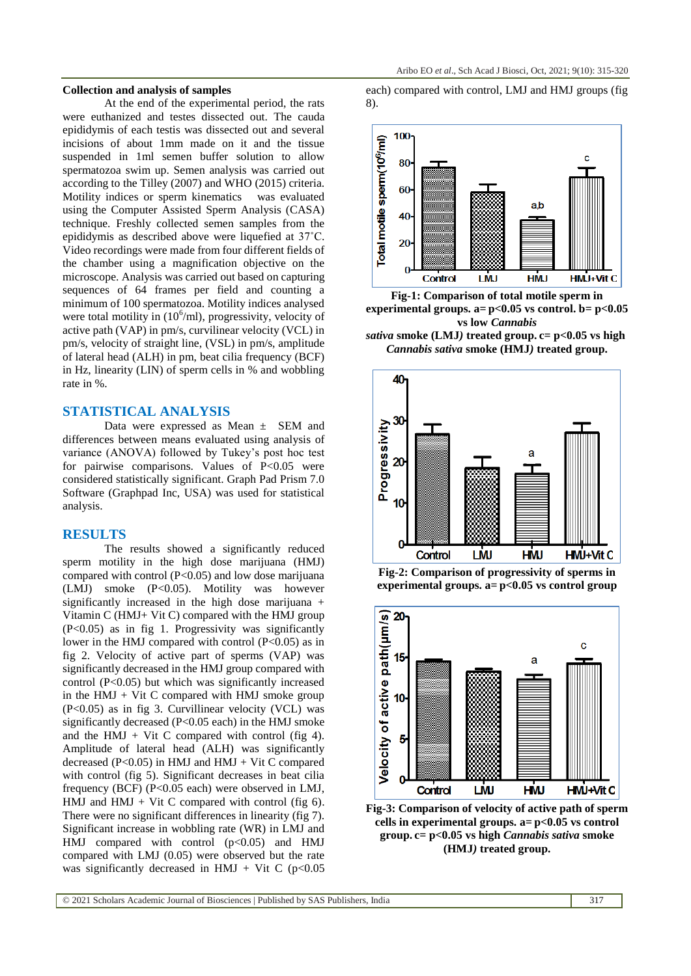#### **Collection and analysis of samples**

At the end of the experimental period, the rats were euthanized and testes dissected out. The cauda epididymis of each testis was dissected out and several incisions of about 1mm made on it and the tissue suspended in 1ml semen buffer solution to allow spermatozoa swim up. Semen analysis was carried out according to the Tilley (2007) and WHO (2015) criteria. Motility indices or sperm kinematics was evaluated using the Computer Assisted Sperm Analysis (CASA) technique. Freshly collected semen samples from the epididymis as described above were liquefied at 37˚C. Video recordings were made from four different fields of the chamber using a magnification objective on the microscope. Analysis was carried out based on capturing sequences of 64 frames per field and counting a minimum of 100 spermatozoa. Motility indices analysed were total motility in  $(10^6\text{/ml})$ , progressivity, velocity of active path (VAP) in pm/s, curvilinear velocity (VCL) in pm/s, velocity of straight line, (VSL) in pm/s, amplitude of lateral head (ALH) in pm, beat cilia frequency (BCF) in Hz, linearity (LIN) of sperm cells in % and wobbling rate in %.

# **STATISTICAL ANALYSIS**

Data were expressed as Mean  $\pm$  SEM and differences between means evaluated using analysis of variance (ANOVA) followed by Tukey's post hoc test for pairwise comparisons. Values of P<0.05 were considered statistically significant. Graph Pad Prism 7.0 Software (Graphpad Inc, USA) was used for statistical analysis.

#### **RESULTS**

The results showed a significantly reduced sperm motility in the high dose marijuana (HMJ) compared with control (P<0.05) and low dose marijuana (LMJ) smoke (P<0.05). Motility was however significantly increased in the high dose marijuana + Vitamin C (HMJ+ Vit C) compared with the HMJ group (P<0.05) as in fig 1. Progressivity was significantly lower in the HMJ compared with control  $(P<0.05)$  as in fig 2. Velocity of active part of sperms (VAP) was significantly decreased in the HMJ group compared with control (P<0.05) but which was significantly increased in the  $HMI + Vit C$  compared with  $HMI$  smoke group (P<0.05) as in fig 3. Curvillinear velocity (VCL) was significantly decreased (P<0.05 each) in the HMJ smoke and the HMJ + Vit C compared with control (fig 4). Amplitude of lateral head (ALH) was significantly decreased ( $P<0.05$ ) in HMJ and HMJ + Vit C compared with control (fig 5). Significant decreases in beat cilia frequency (BCF) (P<0.05 each) were observed in LMJ, HMJ and HMJ + Vit C compared with control (fig  $6$ ). There were no significant differences in linearity (fig 7). Significant increase in wobbling rate (WR) in LMJ and HMJ compared with control  $(p<0.05)$  and HMJ compared with LMJ (0.05) were observed but the rate was significantly decreased in HMJ + Vit C ( $p<0.05$ )

each) compared with control, LMJ and HMJ groups (fig 8).



**Fig-1: Comparison of total motile sperm in experimental groups. a= p<0.05 vs control. b= p<0.05 vs low** *Cannabis*









**Fig-3: Comparison of velocity of active path of sperm cells in experimental groups. a= p<0.05 vs control group. c= p<0.05 vs high** *Cannabis sativa* **smoke (HMJ***)* **treated group.**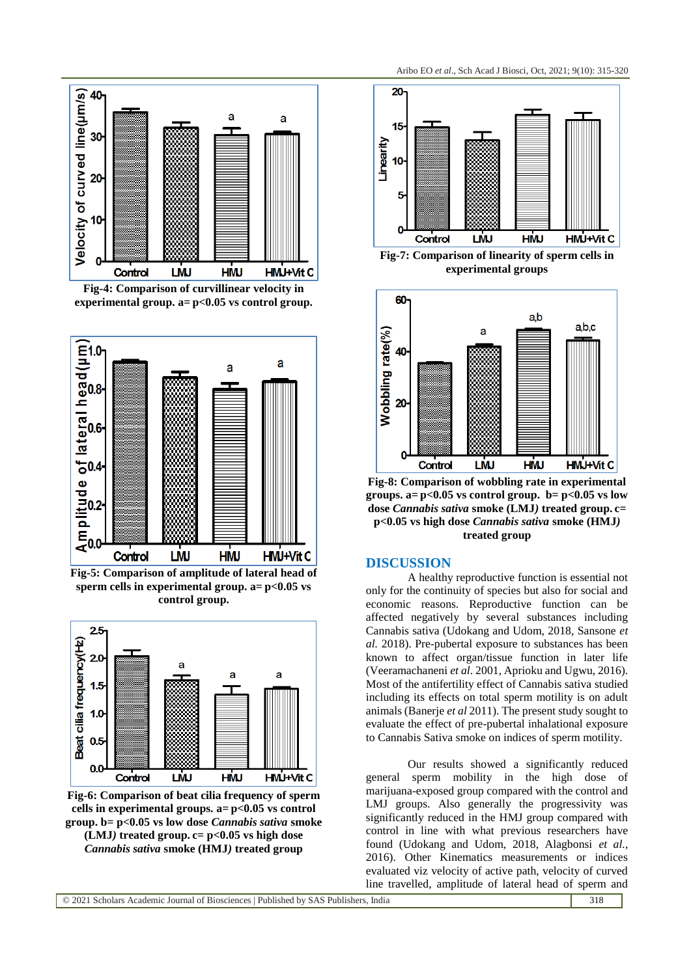

**Fig-4: Comparison of curvillinear velocity in experimental group. a= p<0.05 vs control group.**



**Fig-5: Comparison of amplitude of lateral head of sperm cells in experimental group. a= p<0.05 vs control group.**



**Fig-6: Comparison of beat cilia frequency of sperm cells in experimental groups. a= p<0.05 vs control group. b= p<0.05 vs low dose** *Cannabis sativa* **smoke (LMJ***)* **treated group. c= p<0.05 vs high dose**  *Cannabis sativa* **smoke (HMJ***)* **treated group**



**Fig-7: Comparison of linearity of sperm cells in experimental groups**



**Fig-8: Comparison of wobbling rate in experimental groups. a= p<0.05 vs control group. b= p<0.05 vs low dose** *Cannabis sativa* **smoke (LMJ***)* **treated group. c= p<0.05 vs high dose** *Cannabis sativa* **smoke (HMJ***)*  **treated group**

# **DISCUSSION**

A healthy reproductive function is essential not only for the continuity of species but also for social and economic reasons. Reproductive function can be affected negatively by several substances including Cannabis sativa (Udokang and Udom, 2018, Sansone *et al.* 2018). Pre-pubertal exposure to substances has been known to affect organ/tissue function in later life (Veeramachaneni *et al*. 2001, Aprioku and Ugwu, 2016). Most of the antifertility effect of Cannabis sativa studied including its effects on total sperm motility is on adult animals (Banerje *et al* 2011). The present study sought to evaluate the effect of pre-pubertal inhalational exposure to Cannabis Sativa smoke on indices of sperm motility.

Our results showed a significantly reduced general sperm mobility in the high dose of marijuana-exposed group compared with the control and LMJ groups. Also generally the progressivity was significantly reduced in the HMJ group compared with control in line with what previous researchers have found (Udokang and Udom, 2018, Alagbonsi *et al.*, 2016). Other Kinematics measurements or indices evaluated viz velocity of active path, velocity of curved line travelled, amplitude of lateral head of sperm and

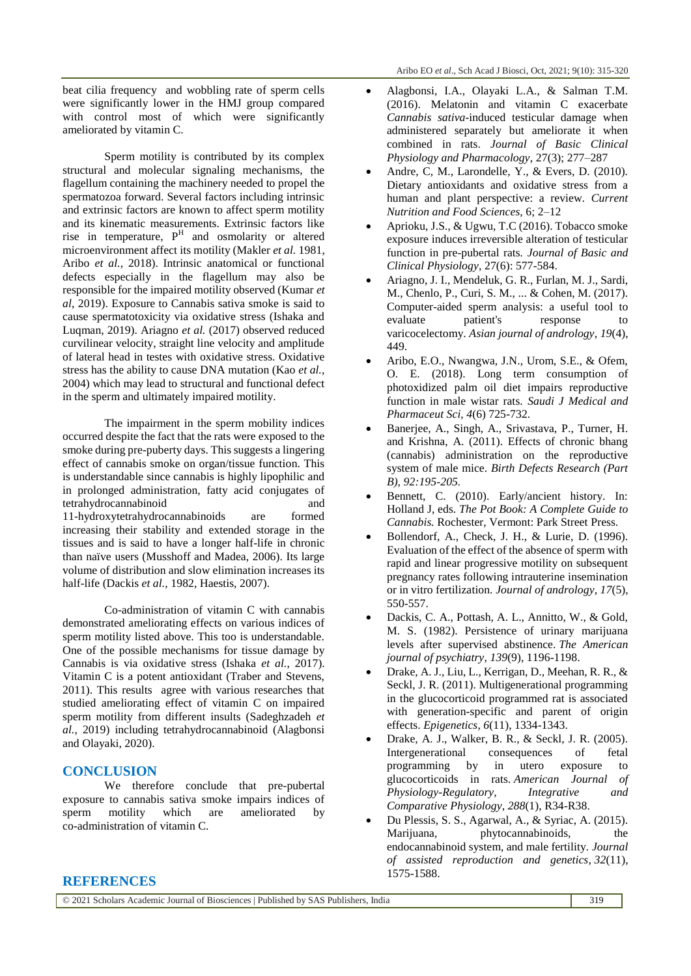beat cilia frequency and wobbling rate of sperm cells were significantly lower in the HMJ group compared with control most of which were significantly ameliorated by vitamin C.

Sperm motility is contributed by its complex structural and molecular signaling mechanisms, the flagellum containing the machinery needed to propel the spermatozoa forward. Several factors including intrinsic and extrinsic factors are known to affect sperm motility and its kinematic measurements. Extrinsic factors like rise in temperature,  $P<sup>H</sup>$  and osmolarity or altered microenvironment affect its motility (Makler *et al.* 1981, Aribo *et al.*, 2018). Intrinsic anatomical or functional defects especially in the flagellum may also be responsible for the impaired motility observed (Kumar *et al*, 2019). Exposure to Cannabis sativa smoke is said to cause spermatotoxicity via oxidative stress (Ishaka and Luqman, 2019). Ariagno *et al.* (2017) observed reduced curvilinear velocity, straight line velocity and amplitude of lateral head in testes with oxidative stress. Oxidative stress has the ability to cause DNA mutation (Kao *et al.*, 2004) which may lead to structural and functional defect in the sperm and ultimately impaired motility.

The impairment in the sperm mobility indices occurred despite the fact that the rats were exposed to the smoke during pre-puberty days. This suggests a lingering effect of cannabis smoke on organ/tissue function. This is understandable since cannabis is highly lipophilic and in prolonged administration, fatty acid conjugates of tetrahydrocannabinoid and 11-hydroxytetrahydrocannabinoids are formed increasing their stability and extended storage in the tissues and is said to have a longer half-life in chronic than naïve users (Musshoff and Madea, 2006). Its large volume of distribution and slow elimination increases its half-life (Dackis *et al.,* 1982, Haestis, 2007).

Co-administration of vitamin C with cannabis demonstrated ameliorating effects on various indices of sperm motility listed above. This too is understandable. One of the possible mechanisms for tissue damage by Cannabis is via oxidative stress (Ishaka *et al.*, 2017). Vitamin C is a potent antioxidant (Traber and Stevens, 2011). This results agree with various researches that studied ameliorating effect of vitamin C on impaired sperm motility from different insults (Sadeghzadeh *et al.*, 2019) including tetrahydrocannabinoid (Alagbonsi and Olayaki, 2020).

# **CONCLUSION**

We therefore conclude that pre-pubertal exposure to cannabis sativa smoke impairs indices of sperm motility which are ameliorated by co-administration of vitamin C.

- Alagbonsi, I.A., Olayaki L.A., & Salman T.M. (2016). Melatonin and vitamin C exacerbate *Cannabis sativa*-induced testicular damage when administered separately but ameliorate it when combined in rats. *Journal of Basic Clinical Physiology and Pharmacology*, 27(3); 277–287
- Andre, C, M., Larondelle, Y., & Evers, D. (2010). Dietary antioxidants and oxidative stress from a human and plant perspective: a review. *Current Nutrition and Food Sciences,* 6; 2–12
- Aprioku, J.S., & Ugwu, T.C (2016). Tobacco smoke exposure induces irreversible alteration of testicular function in pre-pubertal rats*. Journal of Basic and Clinical Physiology,* 27(6): 577-584.
- Ariagno, J. I., Mendeluk, G. R., Furlan, M. J., Sardi, M., Chenlo, P., Curi, S. M., ... & Cohen, M. (2017). Computer-aided sperm analysis: a useful tool to evaluate patient's response to varicocelectomy. *Asian journal of andrology*, *19*(4), 449.
- Aribo, E.O., Nwangwa, J.N., Urom, S.E., & Ofem, O. E. (2018). Long term consumption of photoxidized palm oil diet impairs reproductive function in male wistar rats. *Saudi J Medical and Pharmaceut Sci, 4*(6) 725-732.
- Banerjee, A., Singh, A., Srivastava, P., Turner, H. and Krishna, A. (2011). Effects of chronic bhang (cannabis) administration on the reproductive system of male mice. *Birth Defects Research (Part B), 92:195-205.*
- Bennett, C. (2010). Early/ancient history. In: Holland J, eds. *The Pot Book: A Complete Guide to Cannabis.* Rochester, Vermont: Park Street Press.
- Bollendorf, A., Check, J. H., & Lurie, D. (1996). Evaluation of the effect of the absence of sperm with rapid and linear progressive motility on subsequent pregnancy rates following intrauterine insemination or in vitro fertilization. *Journal of andrology*, *17*(5), 550-557.
- Dackis, C. A., Pottash, A. L., Annitto, W., & Gold, M. S. (1982). Persistence of urinary marijuana levels after supervised abstinence. *The American journal of psychiatry*, *139*(9), 1196-1198.
- Drake, A. J., Liu, L., Kerrigan, D., Meehan, R. R., & Seckl, J. R. (2011). Multigenerational programming in the glucocorticoid programmed rat is associated with generation-specific and parent of origin effects. *Epigenetics*, *6*(11), 1334-1343.
- Drake, A. J., Walker, B. R., & Seckl, J. R. (2005). Intergenerational consequences of fetal programming by in utero exposure to glucocorticoids in rats. *American Journal of Physiology-Regulatory, Integrative and Comparative Physiology*, *288*(1), R34-R38.
- Du Plessis, S. S., Agarwal, A., & Syriac, A. (2015). Marijuana, phytocannabinoids, the endocannabinoid system, and male fertility. *Journal of assisted reproduction and genetics*, *32*(11), 1575-1588.

### **REFERENCES**